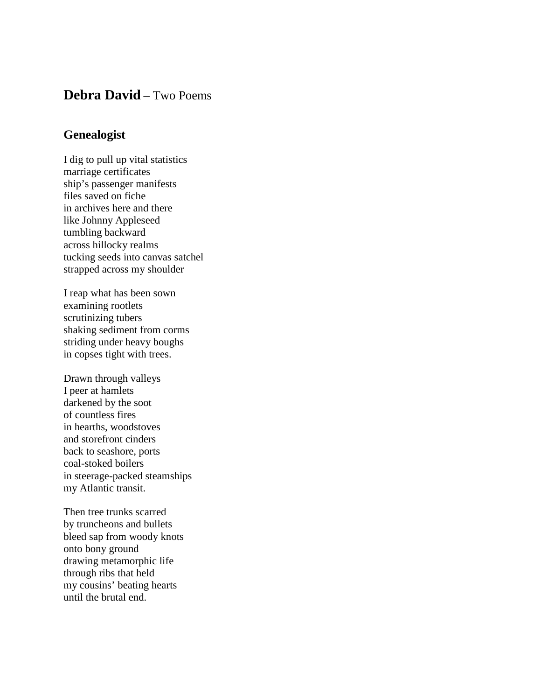## **Debra David** – Two Poems

## **Genealogist**

I dig to pull up vital statistics marriage certificates ship's passenger manifests files saved on fiche in archives here and there like Johnny Appleseed tumbling backward across hillocky realms tucking seeds into canvas satchel strapped across my shoulder

I reap what has been sown examining rootlets scrutinizing tubers shaking sediment from corms striding under heavy boughs in copses tight with trees.

Drawn through valleys I peer at hamlets darkened by the soot of countless fires in hearths, woodstoves and storefront cinders back to seashore, ports coal-stoked boilers in steerage-packed steamships my Atlantic transit.

Then tree trunks scarred by truncheons and bullets bleed sap from woody knots onto bony ground drawing metamorphic life through ribs that held my cousins' beating hearts until the brutal end.